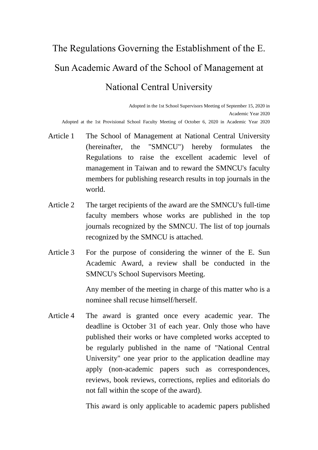## The Regulations Governing the Establishment of the E. Sun Academic Award of the School of Management at National Central University

 Adopted in the 1st School Supervisors Meeting of September 15, 2020 in Academic Year 2020 Adopted at the 1st Provisional School Faculty Meeting of October 6, 2020 in Academic Year 2020

- Article 1 The School of Management at National Central University (hereinafter, the "SMNCU") hereby formulates the Regulations to raise the excellent academic level of management in Taiwan and to reward the SMNCU's faculty members for publishing research results in top journals in the world.
- Article 2 The target recipients of the award are the SMNCU's full-time faculty members whose works are published in the top journals recognized by the SMNCU. The list of top journals recognized by the SMNCU is attached.
- Article 3 For the purpose of considering the winner of the E. Sun Academic Award, a review shall be conducted in the SMNCU's School Supervisors Meeting.

Any member of the meeting in charge of this matter who is a nominee shall recuse himself/herself.

Article 4 The award is granted once every academic year. The deadline is October 31 of each year. Only those who have published their works or have completed works accepted to be regularly published in the name of "National Central University" one year prior to the application deadline may apply (non-academic papers such as correspondences, reviews, book reviews, corrections, replies and editorials do not fall within the scope of the award).

This award is only applicable to academic papers published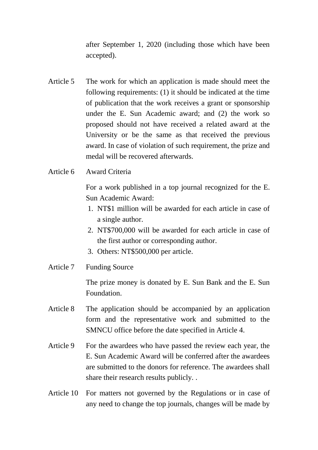after September 1, 2020 (including those which have been accepted).

- Article 5 The work for which an application is made should meet the following requirements: (1) it should be indicated at the time of publication that the work receives a grant or sponsorship under the E. Sun Academic award; and (2) the work so proposed should not have received a related award at the University or be the same as that received the previous award. In case of violation of such requirement, the prize and medal will be recovered afterwards.
- Article 6 Award Criteria

For a work published in a top journal recognized for the E. Sun Academic Award:

- 1. NT\$1 million will be awarded for each article in case of a single author.
- 2. NT\$700,000 will be awarded for each article in case of the first author or corresponding author.
- 3. Others: NT\$500,000 per article.
- Article 7 Funding Source

The prize money is donated by E. Sun Bank and the E. Sun Foundation.

- Article 8 The application should be accompanied by an application form and the representative work and submitted to the SMNCU office before the date specified in Article 4.
- Article 9 For the awardees who have passed the review each year, the E. Sun Academic Award will be conferred after the awardees are submitted to the donors for reference. The awardees shall share their research results publicly. .
- Article 10 For matters not governed by the Regulations or in case of any need to change the top journals, changes will be made by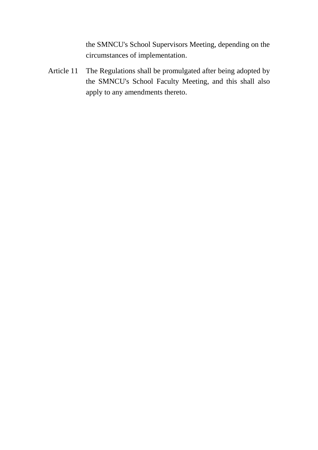the SMNCU's School Supervisors Meeting, depending on the circumstances of implementation.

Article 11 The Regulations shall be promulgated after being adopted by the SMNCU's School Faculty Meeting, and this shall also apply to any amendments thereto.